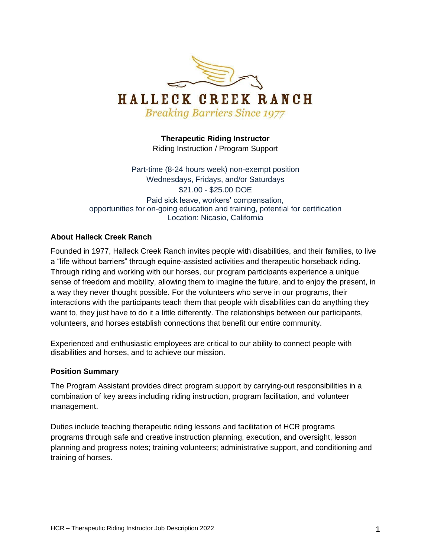

**Therapeutic Riding Instructor** Riding Instruction / Program Support

Part-time (8-24 hours week) non-exempt position Wednesdays, Fridays, and/or Saturdays \$21.00 - \$25.00 DOE Paid sick leave, workers' compensation, opportunities for on-going education and training, potential for certification Location: Nicasio, California

#### **About Halleck Creek Ranch**

Founded in 1977, Halleck Creek Ranch invites people with disabilities, and their families, to live a "life without barriers" through equine-assisted activities and therapeutic horseback riding. Through riding and working with our horses, our program participants experience a unique sense of freedom and mobility, allowing them to imagine the future, and to enjoy the present, in a way they never thought possible. For the volunteers who serve in our programs, their interactions with the participants teach them that people with disabilities can do anything they want to, they just have to do it a little differently. The relationships between our participants, volunteers, and horses establish connections that benefit our entire community.

Experienced and enthusiastic employees are critical to our ability to connect people with disabilities and horses, and to achieve our mission.

#### **Position Summary**

The Program Assistant provides direct program support by carrying-out responsibilities in a combination of key areas including riding instruction, program facilitation, and volunteer management.

Duties include teaching therapeutic riding lessons and facilitation of HCR programs programs through safe and creative instruction planning, execution, and oversight, lesson planning and progress notes; training volunteers; administrative support, and conditioning and training of horses.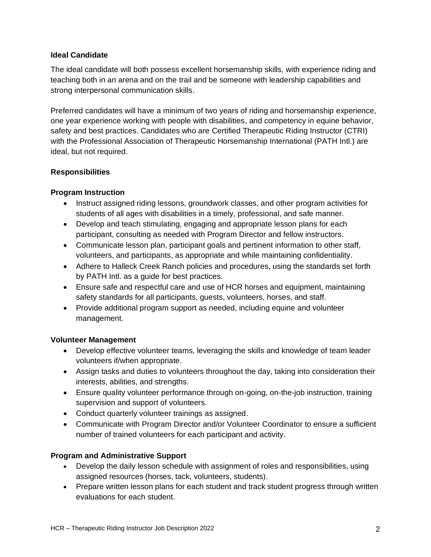#### **Ideal Candidate**

The ideal candidate will both possess excellent horsemanship skills, with experience riding and teaching both in an arena and on the trail and be someone with leadership capabilities and strong interpersonal communication skills.

Preferred candidates will have a minimum of two years of riding and horsemanship experience, one year experience working with people with disabilities, and competency in equine behavior, safety and best practices. Candidates who are Certified Therapeutic Riding Instructor (CTRI) with the Professional Association of Therapeutic Horsemanship International (PATH Intl.) are ideal, but not required.

## **Responsibilities**

## **Program Instruction**

- Instruct assigned riding lessons, groundwork classes, and other program activities for students of all ages with disabilities in a timely, professional, and safe manner.
- Develop and teach stimulating, engaging and appropriate lesson plans for each participant, consulting as needed with Program Director and fellow instructors.
- Communicate lesson plan, participant goals and pertinent information to other staff, volunteers, and participants, as appropriate and while maintaining confidentiality.
- Adhere to Halleck Creek Ranch policies and procedures, using the standards set forth by PATH Intl. as a guide for best practices.
- Ensure safe and respectful care and use of HCR horses and equipment, maintaining safety standards for all participants, guests, volunteers, horses, and staff.
- Provide additional program support as needed, including equine and volunteer management.

#### **Volunteer Management**

- Develop effective volunteer teams, leveraging the skills and knowledge of team leader volunteers if/when appropriate.
- Assign tasks and duties to volunteers throughout the day, taking into consideration their interests, abilities, and strengths.
- Ensure quality volunteer performance through on-going, on-the-job instruction, training supervision and support of volunteers.
- Conduct quarterly volunteer trainings as assigned.
- Communicate with Program Director and/or Volunteer Coordinator to ensure a sufficient number of trained volunteers for each participant and activity.

## **Program and Administrative Support**

- Develop the daily lesson schedule with assignment of roles and responsibilities, using assigned resources (horses, tack, volunteers, students).
- Prepare written lesson plans for each student and track student progress through written evaluations for each student.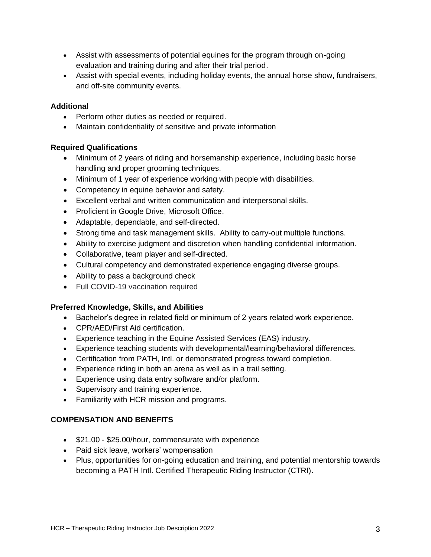- Assist with assessments of potential equines for the program through on-going evaluation and training during and after their trial period.
- Assist with special events, including holiday events, the annual horse show, fundraisers, and off-site community events.

## **Additional**

- Perform other duties as needed or required.
- Maintain confidentiality of sensitive and private information

# **Required Qualifications**

- Minimum of 2 years of riding and horsemanship experience, including basic horse handling and proper grooming techniques.
- Minimum of 1 year of experience working with people with disabilities.
- Competency in equine behavior and safety.
- Excellent verbal and written communication and interpersonal skills.
- Proficient in Google Drive, Microsoft Office.
- Adaptable, dependable, and self-directed.
- Strong time and task management skills. Ability to carry-out multiple functions.
- Ability to exercise judgment and discretion when handling confidential information.
- Collaborative, team player and self-directed.
- Cultural competency and demonstrated experience engaging diverse groups.
- Ability to pass a background check
- Full COVID-19 vaccination required

## **Preferred Knowledge, Skills, and Abilities**

- Bachelor's degree in related field or minimum of 2 years related work experience.
- CPR/AED/First Aid certification.
- Experience teaching in the Equine Assisted Services (EAS) industry.
- Experience teaching students with developmental/learning/behavioral differences.
- Certification from PATH, Intl. or demonstrated progress toward completion.
- Experience riding in both an arena as well as in a trail setting.
- Experience using data entry software and/or platform.
- Supervisory and training experience.
- Familiarity with HCR mission and programs.

# **COMPENSATION AND BENEFITS**

- \$21.00 \$25.00/hour, commensurate with experience
- Paid sick leave, workers' wompensation
- Plus, opportunities for on-going education and training, and potential mentorship towards becoming a PATH Intl. Certified Therapeutic Riding Instructor (CTRI).